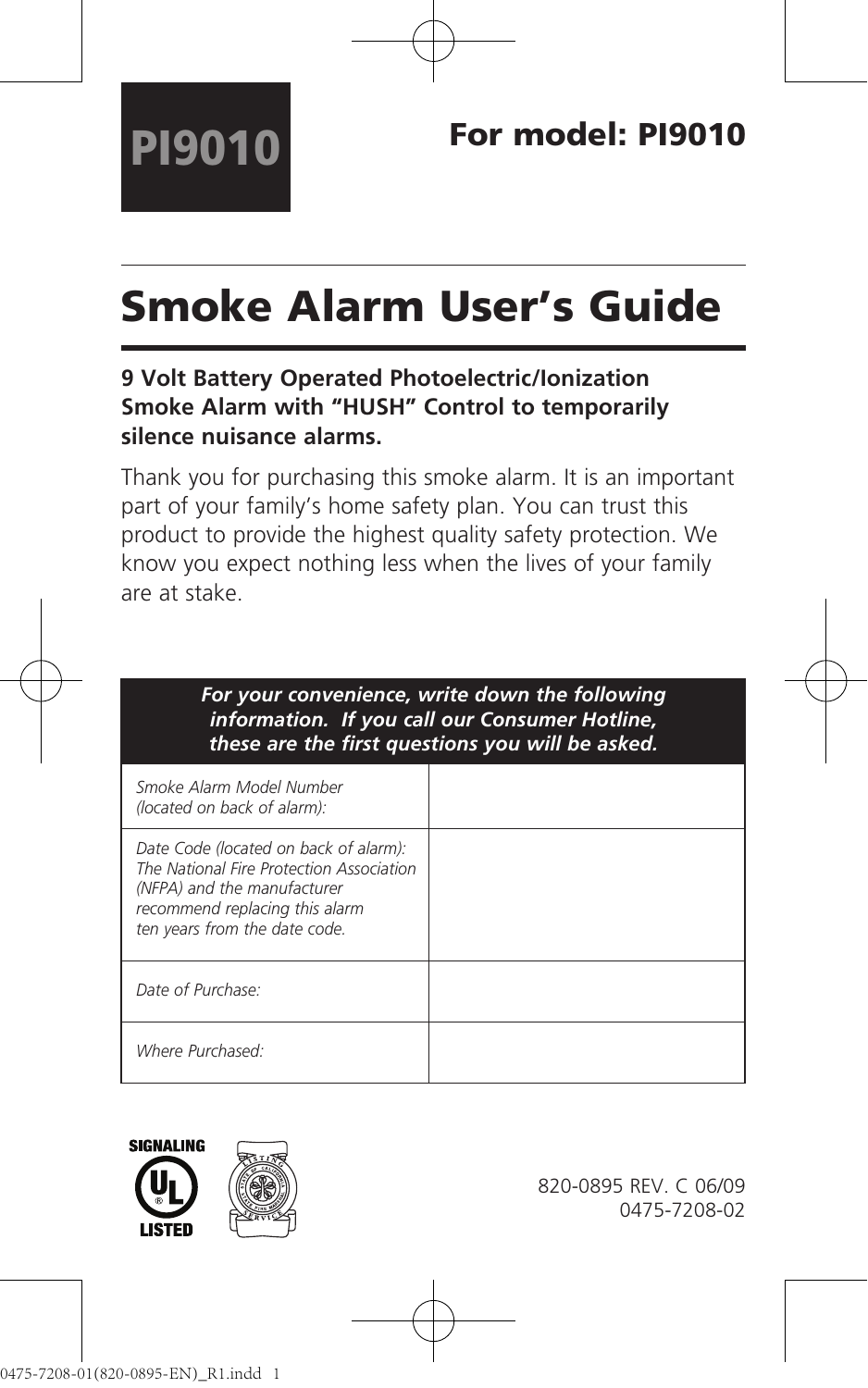# Smoke Alarm User's Guide

## **9 Volt Battery Operated Photoelectric/Ionization Smoke Alarm with "HUSH" Control to temporarily silence nuisance alarms.**

Thank you for purchasing this smoke alarm. It is an important part of your family's home safety plan. You can trust this product to provide the highest quality safety protection. We know you expect nothing less when the lives of your family are at stake.

| For your convenience, write down the following<br>information. If you call our Consumer Hotline,<br>these are the first questions you will be asked.                                |  |  |
|-------------------------------------------------------------------------------------------------------------------------------------------------------------------------------------|--|--|
| Smoke Alarm Model Number<br>(located on back of alarm):                                                                                                                             |  |  |
| Date Code (located on back of alarm):<br>The National Fire Protection Association<br>(NFPA) and the manufacturer<br>recommend replacing this alarm<br>ten years from the date code. |  |  |
| Date of Purchase:                                                                                                                                                                   |  |  |
| Where Purchased:                                                                                                                                                                    |  |  |



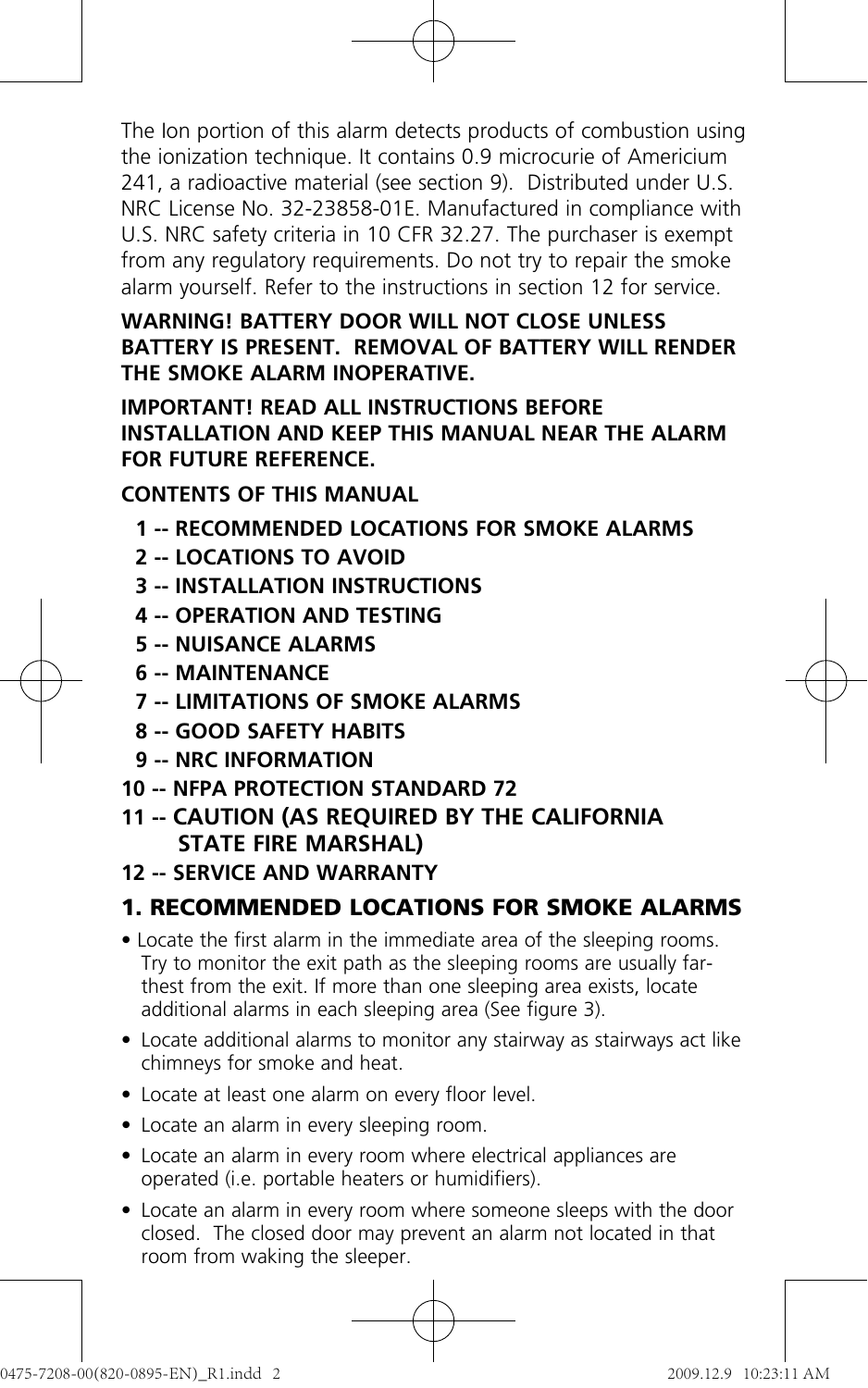The Ion portion of this alarm detects products of combustion using the ionization technique. It contains 0.9 microcurie of Americium 241, a radioactive material (see section 9). Distributed under U.S. NRC License No. 32-23858-01E. Manufactured in compliance with U.S. NRC safety criteria in 10 CFR 32.27. The purchaser is exempt from any regulatory requirements. Do not try to repair the smoke alarm yourself. Refer to the instructions in section 12 for service.

#### **WARNING! BATTERY DOOR WILL NOT CLOSE UNLESS BATTERY IS PRESENT. REMOVAL OF BATTERY WILL RENDER THE SMOKE ALARM INOPERATIVE.**

#### **IMPORTANT! READ ALL INSTRUCTIONS BEFORE INSTALLATION AND KEEP THIS MANUAL NEAR THE ALARM FOR FUTURE REFERENCE.**

## **CONTENTS OF THIS MANUAL**

- **1 -- RECOMMENDED LOCATIONS FOR SMOKE ALARMS**
- **2 -- LOCATIONS TO AVOID**
- **3 -- INSTALLATION INSTRUCTIONS**
- **4 -- OPERATION AND TESTING**
- **5 -- NUISANCE ALARMS**
- **6 -- MAINTENANCE**
- **7 -- LIMITATIONS OF SMOKE ALARMS**
- **8 -- GOOD SAFETY HABITS**
- **9 -- NRC INFORMATION**
- **10 -- NFPA PROTECTION STANDARD 72**
- **11 -- CAUTION (AS REQUIRED BY THE CALIFORNIA STATE FIRE MARSHAL)**
- **12 -- SERVICE AND WARRANTY**

# **1. RECOMMENDED LOCATIONS FOR SMOKE ALARMS**

- Locate the first alarm in the immediate area of the sleeping rooms. Try to monitor the exit path as the sleeping rooms are usually farthest from the exit. If more than one sleeping area exists, locate additional alarms in each sleeping area (See figure 3).
- Locate additional alarms to monitor any stairway as stairways act like chimneys for smoke and heat.
- Locate at least one alarm on every floor level.
- Locate an alarm in every sleeping room.
- Locate an alarm in every room where electrical appliances are operated (i.e. portable heaters or humidifiers).
- Locate an alarm in every room where someone sleeps with the door closed. The closed door may prevent an alarm not located in that room from waking the sleeper.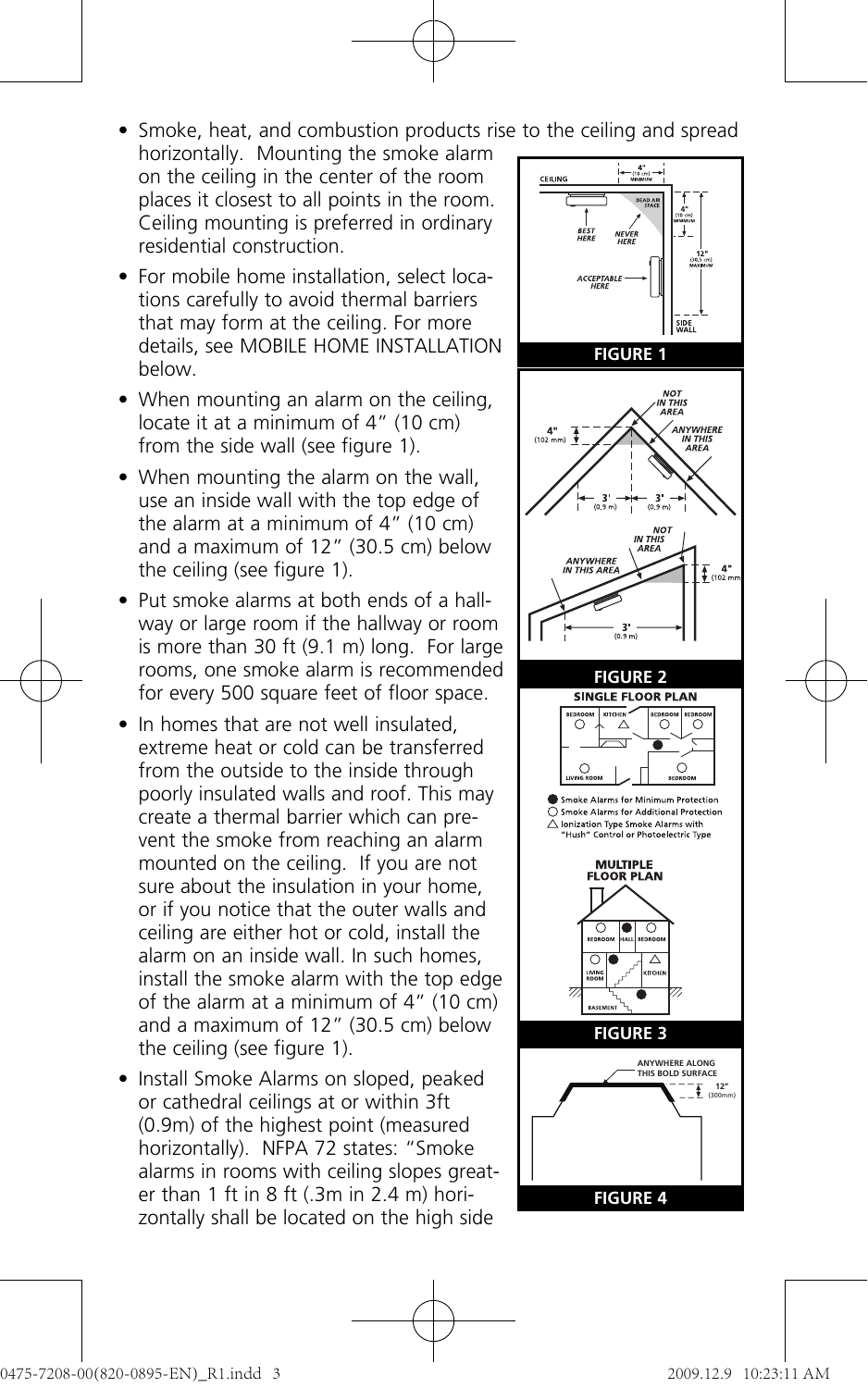• Smoke, heat, and combustion products rise to the ceiling and spread

- horizontally. Mounting the smoke alarm on the ceiling in the center of the room places it closest to all points in the room. Ceiling mounting is preferred in ordinary residential construction.
- For mobile home installation, select locations carefully to avoid thermal barriers that may form at the ceiling. For more details, see MOBILE HOME INSTALLATION below.
- When mounting an alarm on the ceiling, locate it at a minimum of 4" (10 cm) from the side wall (see figure 1).
- When mounting the alarm on the wall, use an inside wall with the top edge of the alarm at a minimum of  $4''$  (10 cm) and a maximum of 12" (30.5 cm) below the ceiling (see figure 1).
- Put smoke alarms at both ends of a hallway or large room if the hallway or room is more than 30 ft (9.1 m) long. For large rooms, one smoke alarm is recommended for every 500 square feet of floor space.
- In homes that are not well insulated. extreme heat or cold can be transferred from the outside to the inside through poorly insulated walls and roof. This may create a thermal barrier which can prevent the smoke from reaching an alarm mounted on the ceiling. If you are not sure about the insulation in your home, or if you notice that the outer walls and ceiling are either hot or cold, install the alarm on an inside wall. In such homes, install the smoke alarm with the top edge of the alarm at a minimum of 4" (10 cm) and a maximum of 12" (30.5 cm) below the ceiling (see figure 1).
- Install Smoke Alarms on sloped, peaked or cathedral ceilings at or within 3ft (0.9m) of the highest point (measured horizontally). NFPA 72 states: "Smoke alarms in rooms with ceiling slopes greater than 1 ft in 8 ft (.3m in 2.4 m) horizontally shall be located on the high side

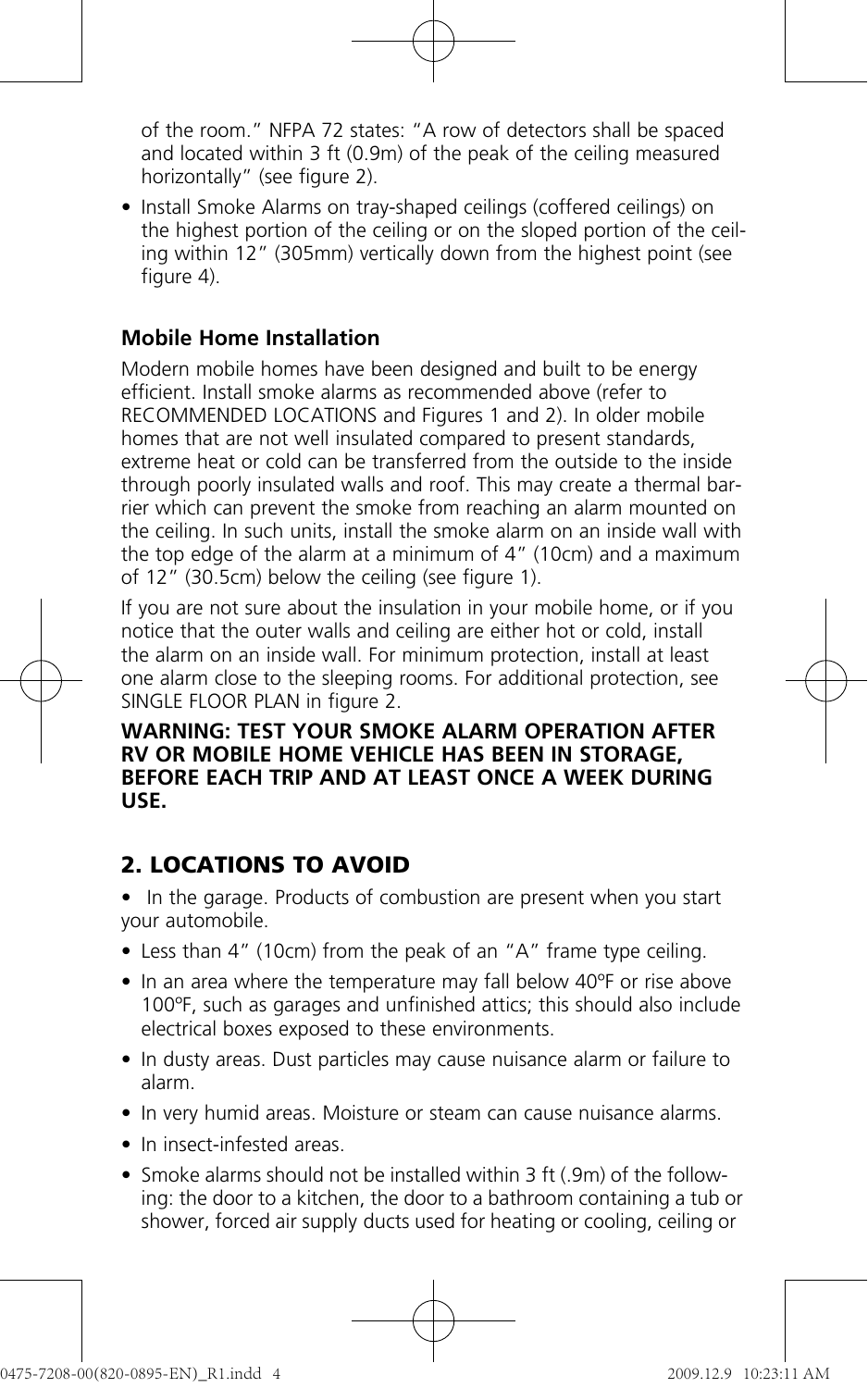of the room." NFPA 72 states: "A row of detectors shall be spaced and located within 3 ft (0.9m) of the peak of the ceiling measured horizontally" (see figure 2).

• Install Smoke Alarms on tray-shaped ceilings (coffered ceilings) on the highest portion of the ceiling or on the sloped portion of the ceiling within 12" (305mm) vertically down from the highest point (see figure 4).

## **Mobile Home Installation**

Modern mobile homes have been designed and built to be energy efficient. Install smoke alarms as recommended above (refer to RECOMMENDED LOCATIONS and Figures 1 and 2). In older mobile homes that are not well insulated compared to present standards, extreme heat or cold can be transferred from the outside to the inside through poorly insulated walls and roof. This may create a thermal barrier which can prevent the smoke from reaching an alarm mounted on the ceiling. In such units, install the smoke alarm on an inside wall with the top edge of the alarm at a minimum of 4" (10cm) and a maximum of 12" (30.5cm) below the ceiling (see figure 1).

If you are not sure about the insulation in your mobile home, or if you notice that the outer walls and ceiling are either hot or cold, install the alarm on an inside wall. For minimum protection, install at least one alarm close to the sleeping rooms. For additional protection, see SINGLE FLOOR PLAN in figure 2.

#### **WARNING: TEST YOUR SMOKE ALARM OPERATION AFTER RV OR MOBILE HOME VEHICLE HAS BEEN IN STORAGE, BEFORE EACH TRIP AND AT LEAST ONCE A WEEK DURING USE.**

## **2. LOCATIONS TO AVOID**

- In the garage. Products of combustion are present when you start your automobile.
- Less than 4" (10cm) from the peak of an "A" frame type ceiling.
- In an area where the temperature may fall below 40°F or rise above 100ºF, such as garages and unfinished attics; this should also include electrical boxes exposed to these environments.
- In dusty areas. Dust particles may cause nuisance alarm or failure to alarm.
- In very humid areas. Moisture or steam can cause nuisance alarms.
- In insect-infested areas.
- Smoke alarms should not be installed within 3 ft (.9m) of the following: the door to a kitchen, the door to a bathroom containing a tub or shower, forced air supply ducts used for heating or cooling, ceiling or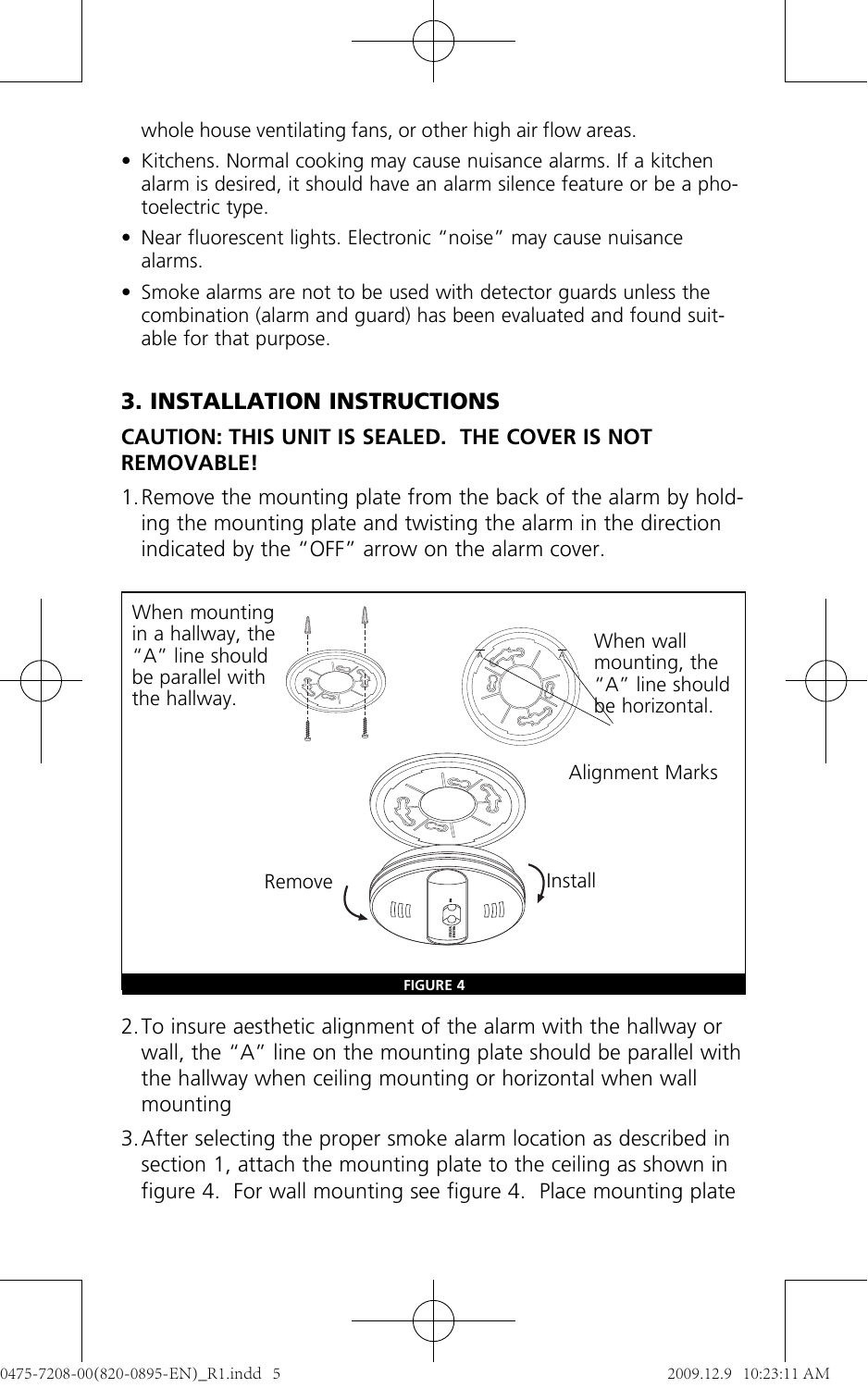whole house ventilating fans, or other high air flow areas.

- Kitchens. Normal cooking may cause nuisance alarms. If a kitchen alarm is desired, it should have an alarm silence feature or be a photoelectric type.
- Near fluorescent lights. Electronic "noise" may cause nuisance alarms.
- Smoke alarms are not to be used with detector guards unless the combination (alarm and guard) has been evaluated and found suitable for that purpose.

# **3. INSTALLATION INSTRUCTIONS**

#### **CAUTION: THIS UNIT IS SEALED. THE COVER IS NOT REMOVABLE!**

1. Remove the mounting plate from the back of the alarm by holding the mounting plate and twisting the alarm in the direction indicated by the "OFF" arrow on the alarm cover.



- 2. To insure aesthetic alignment of the alarm with the hallway or wall, the "A" line on the mounting plate should be parallel with the hallway when ceiling mounting or horizontal when wall mounting
- 3. After selecting the proper smoke alarm location as described in section 1, attach the mounting plate to the ceiling as shown in figure 4. For wall mounting see figure 4. Place mounting plate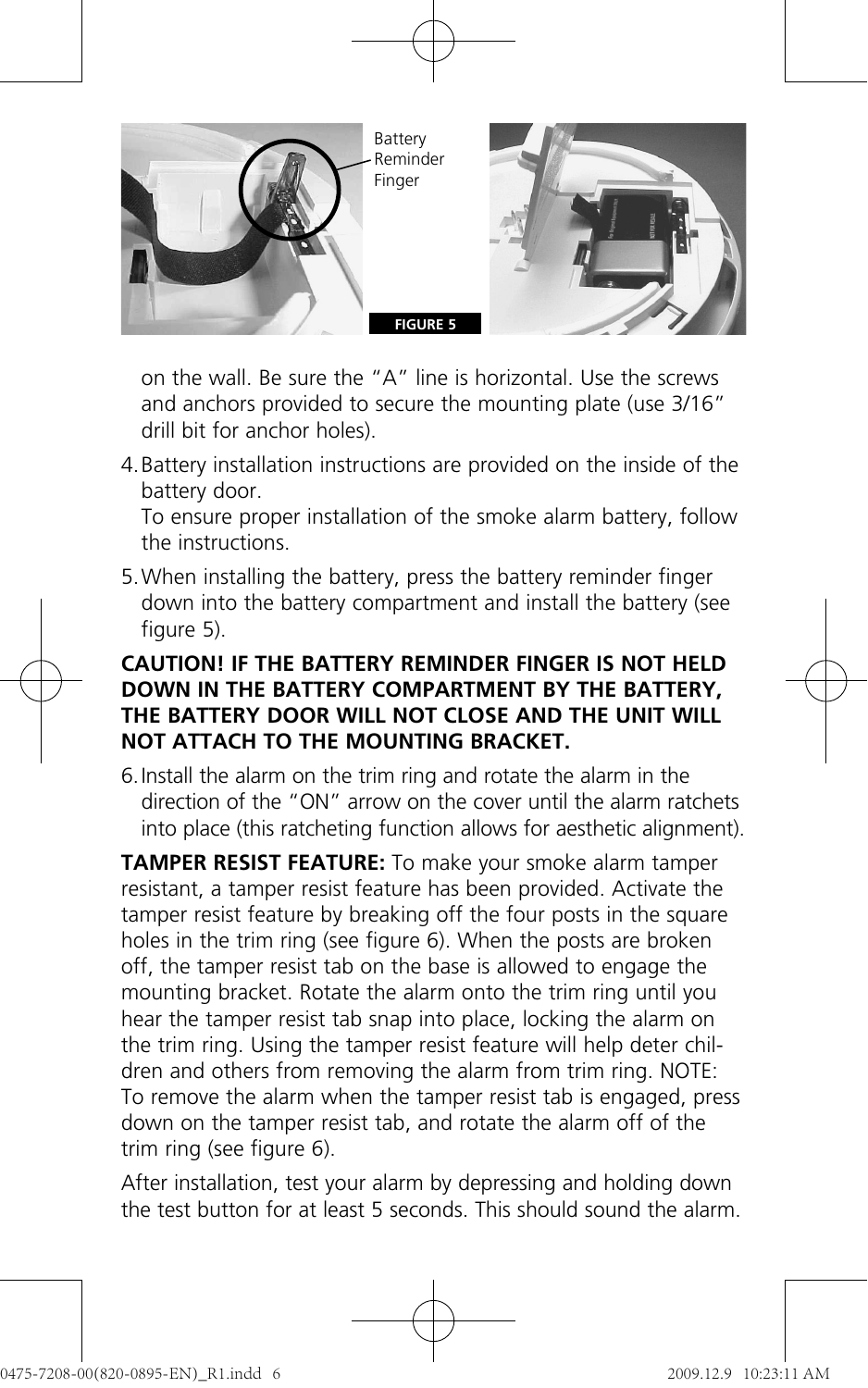

on the wall. Be sure the "A" line is horizontal. Use the screws and anchors provided to secure the mounting plate (use 3/16" drill bit for anchor holes).

4. Battery installation instructions are provided on the inside of the battery door.

To ensure proper installation of the smoke alarm battery, follow the instructions.

5. When installing the battery, press the battery reminder finger down into the battery compartment and install the battery (see figure 5).

#### **CAUTION! IF THE BATTERY REMINDER FINGER IS NOT HELD DOWN IN THE BATTERY COMPARTMENT BY THE BATTERY, THE BATTERY DOOR WILL NOT CLOSE AND THE UNIT WILL NOT ATTACH TO THE MOUNTING BRACKET.**

6. Install the alarm on the trim ring and rotate the alarm in the direction of the "ON" arrow on the cover until the alarm ratchets into place (this ratcheting function allows for aesthetic alignment).

**TAMPER RESIST FEATURE:** To make your smoke alarm tamper resistant, a tamper resist feature has been provided. Activate the tamper resist feature by breaking off the four posts in the square holes in the trim ring (see figure 6). When the posts are broken off, the tamper resist tab on the base is allowed to engage the mounting bracket. Rotate the alarm onto the trim ring until you hear the tamper resist tab snap into place, locking the alarm on the trim ring. Using the tamper resist feature will help deter children and others from removing the alarm from trim ring. NOTE: To remove the alarm when the tamper resist tab is engaged, press down on the tamper resist tab, and rotate the alarm off of the trim ring (see figure 6).

After installation, test your alarm by depressing and holding down the test button for at least 5 seconds. This should sound the alarm.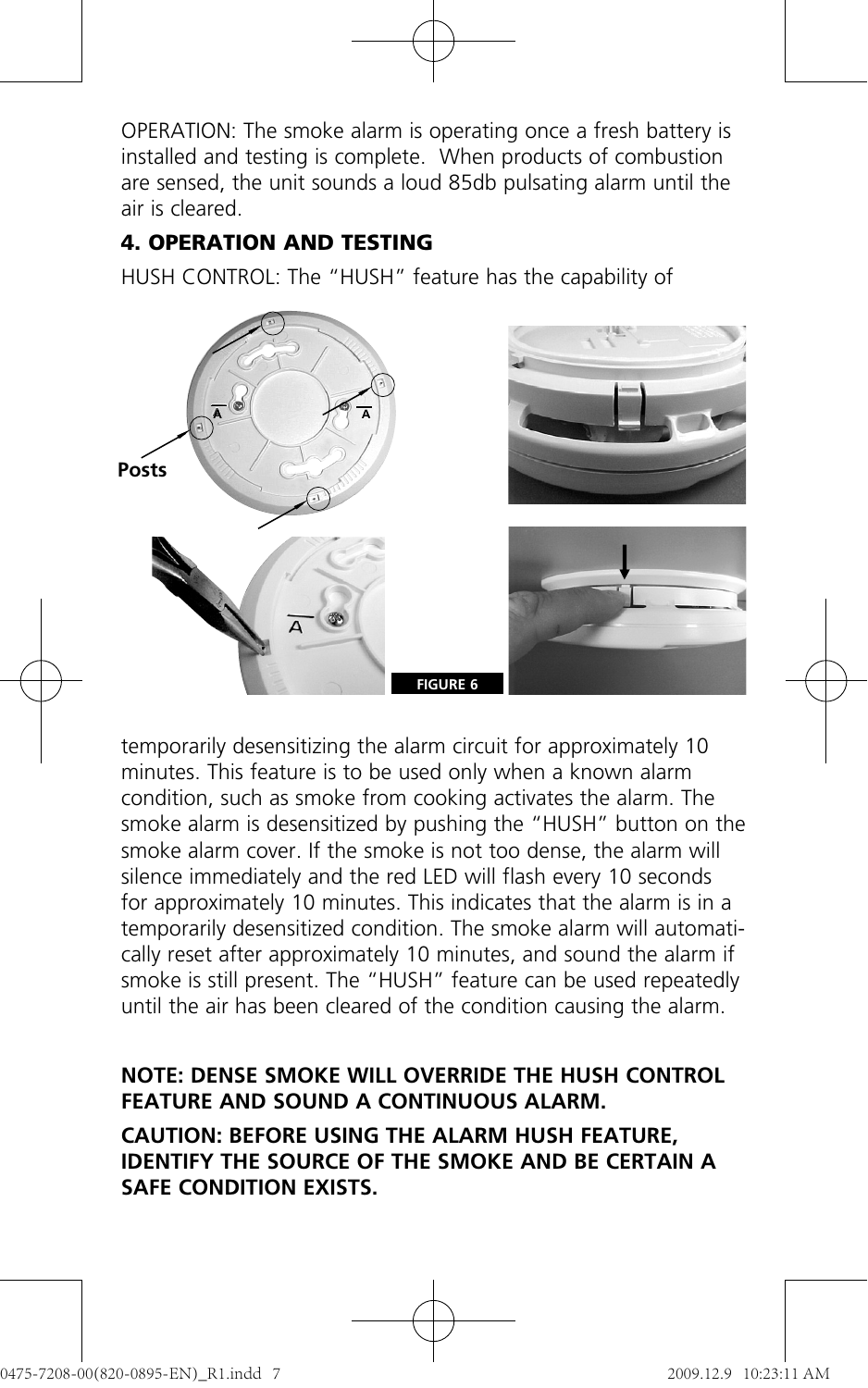OPERATION: The smoke alarm is operating once a fresh battery is installed and testing is complete. When products of combustion are sensed, the unit sounds a loud 85db pulsating alarm until the air is cleared.

#### **4. OPERATION AND TESTING**

HUSH CONTROL: The "HUSH" feature has the capability of



temporarily desensitizing the alarm circuit for approximately 10 minutes. This feature is to be used only when a known alarm condition, such as smoke from cooking activates the alarm. The smoke alarm is desensitized by pushing the "HUSH" button on the smoke alarm cover. If the smoke is not too dense, the alarm will silence immediately and the red LED will flash every 10 seconds for approximately 10 minutes. This indicates that the alarm is in a temporarily desensitized condition. The smoke alarm will automatically reset after approximately 10 minutes, and sound the alarm if smoke is still present. The "HUSH" feature can be used repeatedly until the air has been cleared of the condition causing the alarm.

#### **NOTE: DENSE SMOKE WILL OVERRIDE THE HUSH CONTROL FEATURE AND SOUND A CONTINUOUS ALARM.**

**CAUTION: BEFORE USING THE ALARM HUSH FEATURE, IDENTIFY THE SOURCE OF THE SMOKE AND BE CERTAIN A SAFE CONDITION EXISTS.**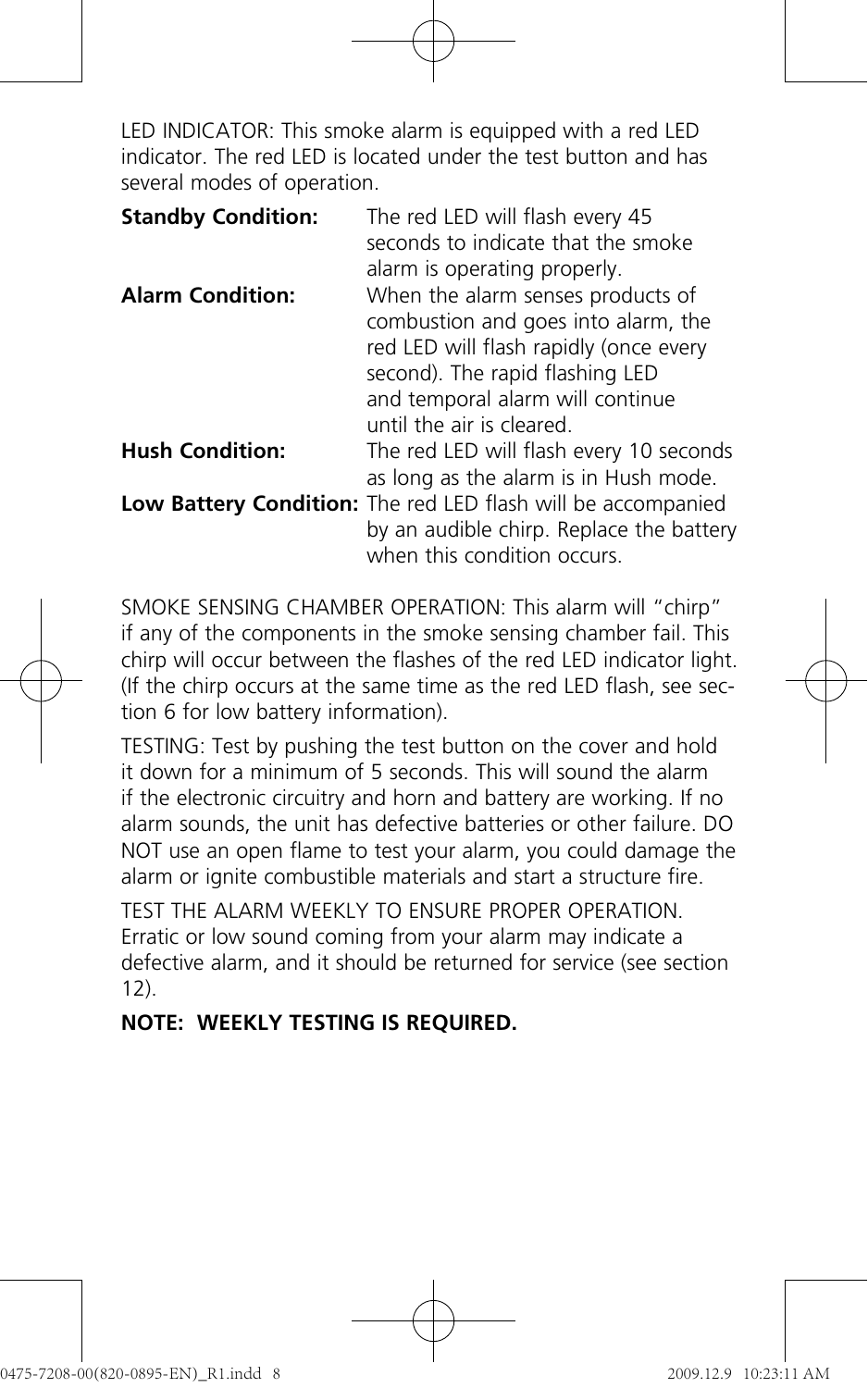LED INDICATOR: This smoke alarm is equipped with a red LED indicator. The red LED is located under the test button and has several modes of operation.

| <b>Standby Condition:</b> | The red LED will flash every 45<br>seconds to indicate that the smoke<br>alarm is operating properly.                                                                                                                  |
|---------------------------|------------------------------------------------------------------------------------------------------------------------------------------------------------------------------------------------------------------------|
| <b>Alarm Condition:</b>   | When the alarm senses products of<br>combustion and goes into alarm, the<br>red LED will flash rapidly (once every<br>second). The rapid flashing LED<br>and temporal alarm will continue<br>until the air is cleared. |
| <b>Hush Condition:</b>    | The red LED will flash every 10 seconds<br>as long as the alarm is in Hush mode.                                                                                                                                       |
|                           | Low Battery Condition: The red LED flash will be accompanied<br>by an audible chirp. Replace the battery<br>when this condition occurs                                                                                 |

SMOKE SENSING CHAMBER OPERATION: This alarm will "chirp" if any of the components in the smoke sensing chamber fail. This chirp will occur between the flashes of the red LED indicator light. (If the chirp occurs at the same time as the red LED flash, see section 6 for low battery information).

TESTING: Test by pushing the test button on the cover and hold it down for a minimum of 5 seconds. This will sound the alarm if the electronic circuitry and horn and battery are working. If no alarm sounds, the unit has defective batteries or other failure. DO NOT use an open flame to test your alarm, you could damage the alarm or ignite combustible materials and start a structure fire.

TEST THE ALARM WEEKLY TO ENSURE PROPER OPERATION. Erratic or low sound coming from your alarm may indicate a defective alarm, and it should be returned for service (see section 12).

## **NOTE: WEEKLY TESTING IS REQUIRED.**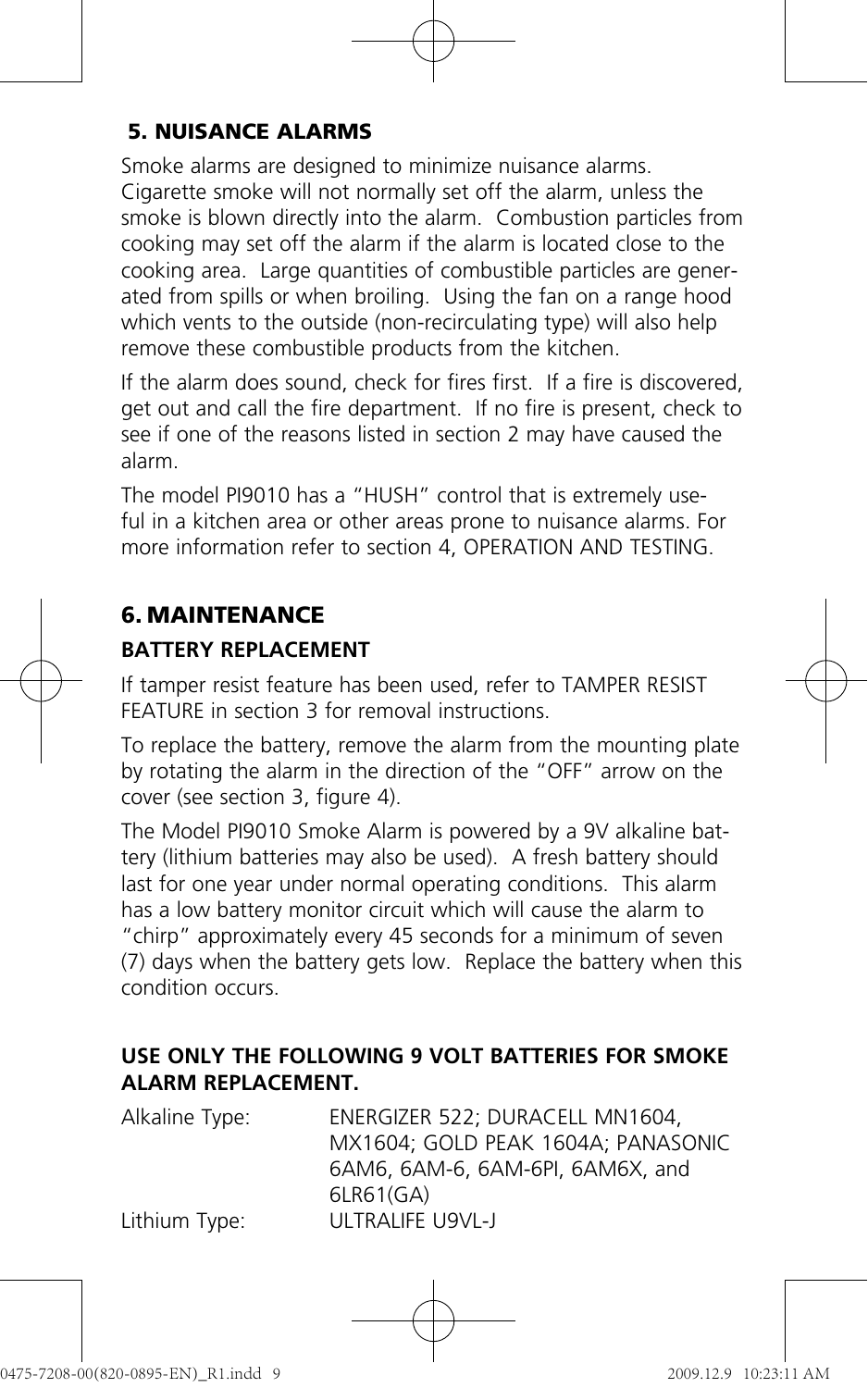## **5. NUISANCE ALARMS**

Smoke alarms are designed to minimize nuisance alarms. Cigarette smoke will not normally set off the alarm, unless the smoke is blown directly into the alarm. Combustion particles from cooking may set off the alarm if the alarm is located close to the cooking area. Large quantities of combustible particles are generated from spills or when broiling. Using the fan on a range hood which vents to the outside (non-recirculating type) will also help remove these combustible products from the kitchen.

If the alarm does sound, check for fires first. If a fire is discovered, get out and call the fire department. If no fire is present, check to see if one of the reasons listed in section 2 may have caused the alarm.

The model PI9010 has a "HUSH" control that is extremely useful in a kitchen area or other areas prone to nuisance alarms. For more information refer to section 4, OPERATION AND TESTING.

# **6. MAINTENANCE**

## **BATTERY REPLACEMENT**

If tamper resist feature has been used, refer to TAMPER RESIST FEATURE in section 3 for removal instructions.

To replace the battery, remove the alarm from the mounting plate by rotating the alarm in the direction of the "OFF" arrow on the cover (see section 3, figure 4).

The Model PI9010 Smoke Alarm is powered by a 9V alkaline battery (lithium batteries may also be used). A fresh battery should last for one year under normal operating conditions. This alarm has a low battery monitor circuit which will cause the alarm to "chirp" approximately every 45 seconds for a minimum of seven (7) days when the battery gets low. Replace the battery when this condition occurs.

#### **USE ONLY THE FOLLOWING 9 VOLT BATTERIES FOR SMOKE ALARM REPLACEMENT.**

| Alkaline Type: | ENERGIZER 522: DURACELL MN1604.    |
|----------------|------------------------------------|
|                | MX1604: GOLD PEAK 1604A: PANASONIC |
|                | 6AM6, 6AM-6, 6AM-6PL 6AM6X, and    |
|                | 6LR61(GA)                          |
| Lithium Type:  | ULTRALIFE U9VL-J                   |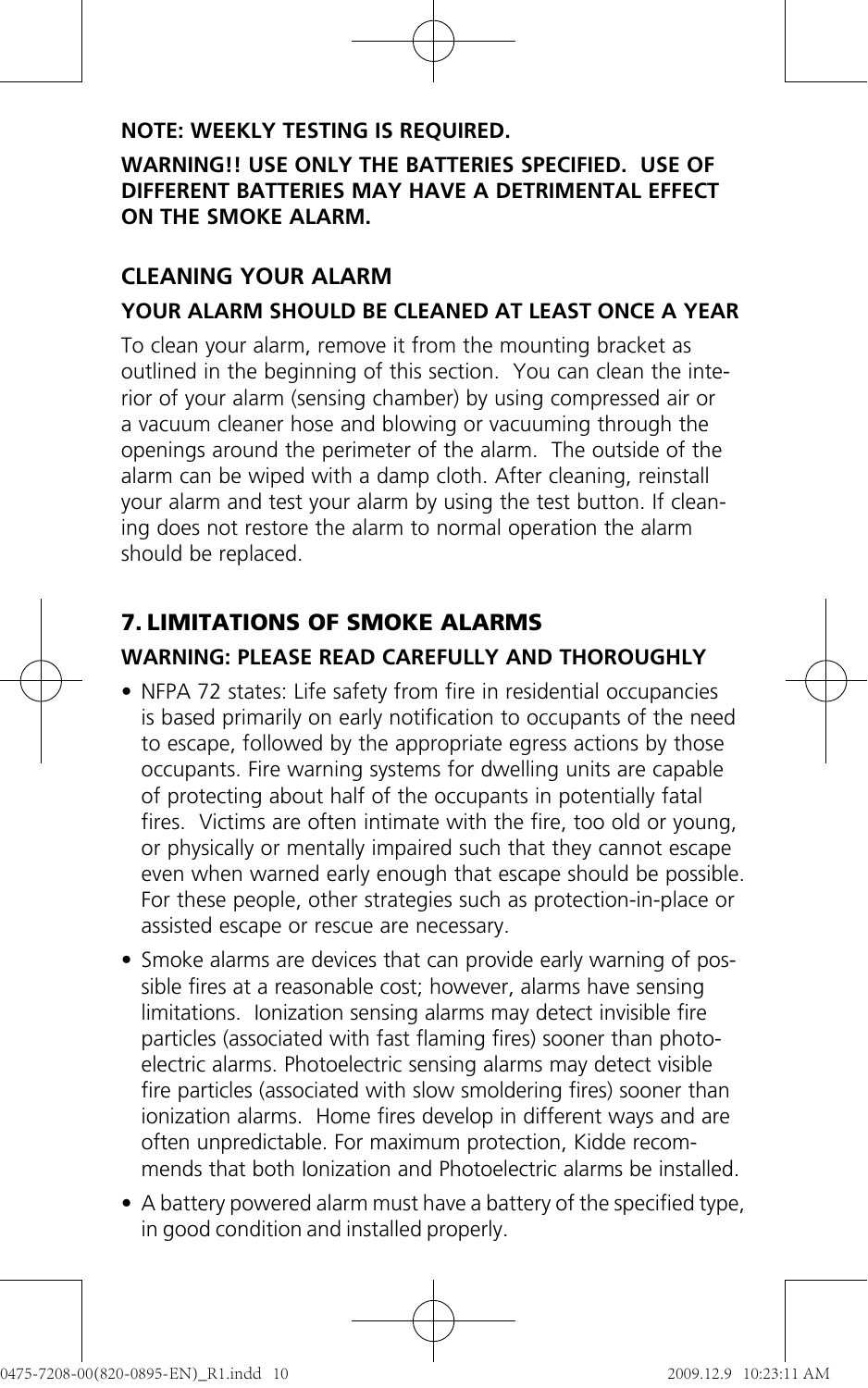#### **NOTE: WEEKLY TESTING IS REQUIRED.**

#### **WARNING!! USE ONLY THE BATTERIES SPECIFIED. USE OF DIFFERENT BATTERIES MAY HAVE A DETRIMENTAL EFFECT ON THE SMOKE ALARM.**

#### **CLEANING YOUR ALARM YOUR ALARM SHOULD BE CLEANED AT LEAST ONCE A YEAR**

To clean your alarm, remove it from the mounting bracket as outlined in the beginning of this section. You can clean the interior of your alarm (sensing chamber) by using compressed air or a vacuum cleaner hose and blowing or vacuuming through the openings around the perimeter of the alarm. The outside of the alarm can be wiped with a damp cloth. After cleaning, reinstall your alarm and test your alarm by using the test button. If cleaning does not restore the alarm to normal operation the alarm should be replaced.

# **7. LIMITATIONS OF SMOKE ALARMS**

## **WARNING: PLEASE READ CAREFULLY AND THOROUGHLY**

- NFPA 72 states: Life safety from fire in residential occupancies is based primarily on early notification to occupants of the need to escape, followed by the appropriate egress actions by those occupants. Fire warning systems for dwelling units are capable of protecting about half of the occupants in potentially fatal fires. Victims are often intimate with the fire, too old or young, or physically or mentally impaired such that they cannot escape even when warned early enough that escape should be possible. For these people, other strategies such as protection-in-place or assisted escape or rescue are necessary.
- Smoke alarms are devices that can provide early warning of possible fires at a reasonable cost; however, alarms have sensing limitations. Ionization sensing alarms may detect invisible fire particles (associated with fast flaming fires) sooner than photoelectric alarms. Photoelectric sensing alarms may detect visible fire particles (associated with slow smoldering fires) sooner than ionization alarms. Home fires develop in different ways and are often unpredictable. For maximum protection, Kidde recommends that both Ionization and Photoelectric alarms be installed.
- A battery powered alarm must have a battery of the specified type, in good condition and installed properly.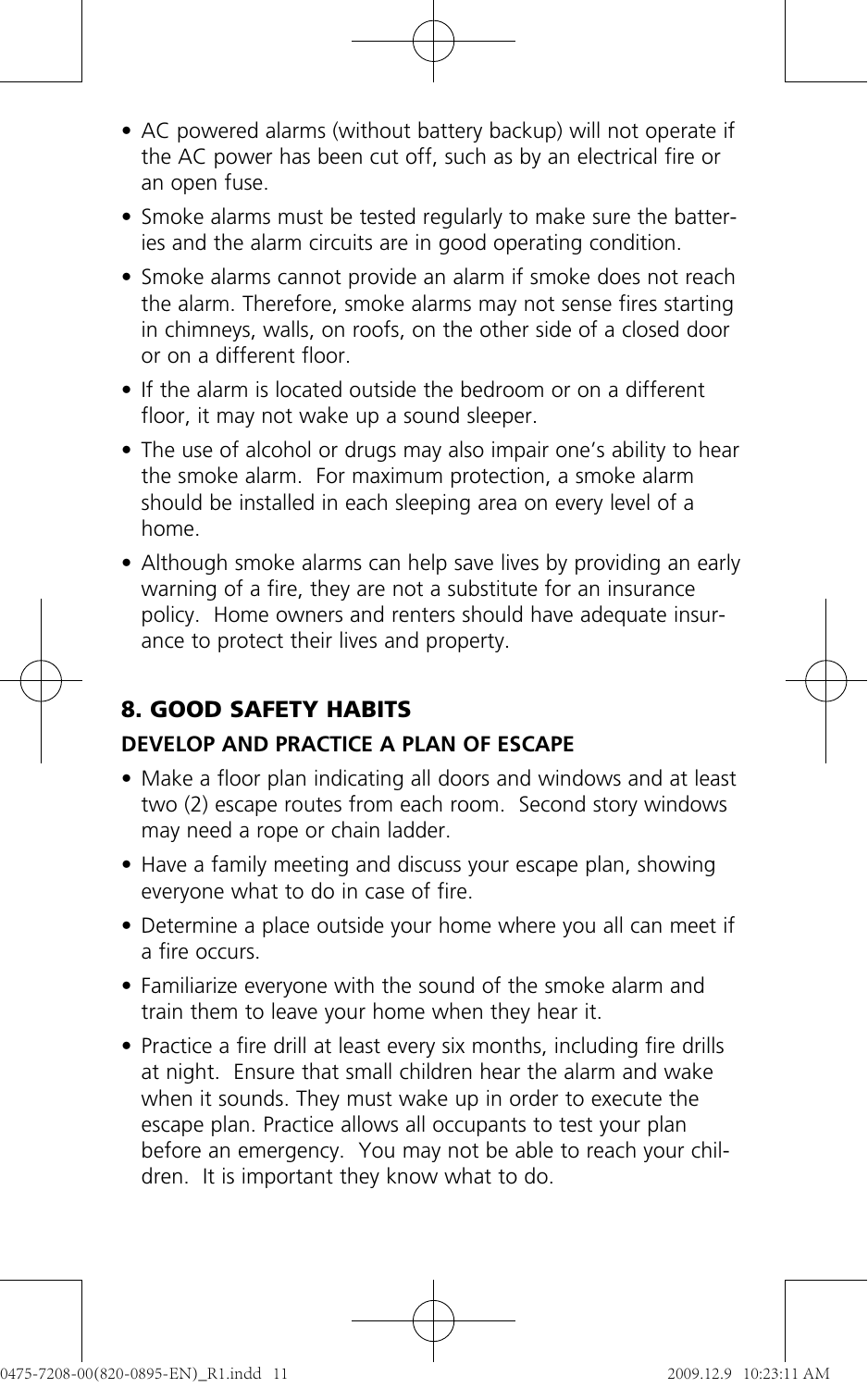- AC powered alarms (without battery backup) will not operate if the AC power has been cut off, such as by an electrical fire or an open fuse.
- Smoke alarms must be tested regularly to make sure the batteries and the alarm circuits are in good operating condition.
- Smoke alarms cannot provide an alarm if smoke does not reach the alarm. Therefore, smoke alarms may not sense fires starting in chimneys, walls, on roofs, on the other side of a closed door or on a different floor.
- If the alarm is located outside the bedroom or on a different floor, it may not wake up a sound sleeper.
- The use of alcohol or drugs may also impair one's ability to hear the smoke alarm. For maximum protection, a smoke alarm should be installed in each sleeping area on every level of a home.
- Although smoke alarms can help save lives by providing an early warning of a fire, they are not a substitute for an insurance policy. Home owners and renters should have adequate insurance to protect their lives and property.

# **8. GOOD SAFETY HABITS**

#### **DEVELOP AND PRACTICE A PLAN OF ESCAPE**

- Make a floor plan indicating all doors and windows and at least two (2) escape routes from each room. Second story windows may need a rope or chain ladder.
- Have a family meeting and discuss your escape plan, showing everyone what to do in case of fire.
- Determine a place outside your home where you all can meet if a fire occurs.
- Familiarize everyone with the sound of the smoke alarm and train them to leave your home when they hear it.
- Practice a fire drill at least every six months, including fire drills at night. Ensure that small children hear the alarm and wake when it sounds. They must wake up in order to execute the escape plan. Practice allows all occupants to test your plan before an emergency. You may not be able to reach your children. It is important they know what to do.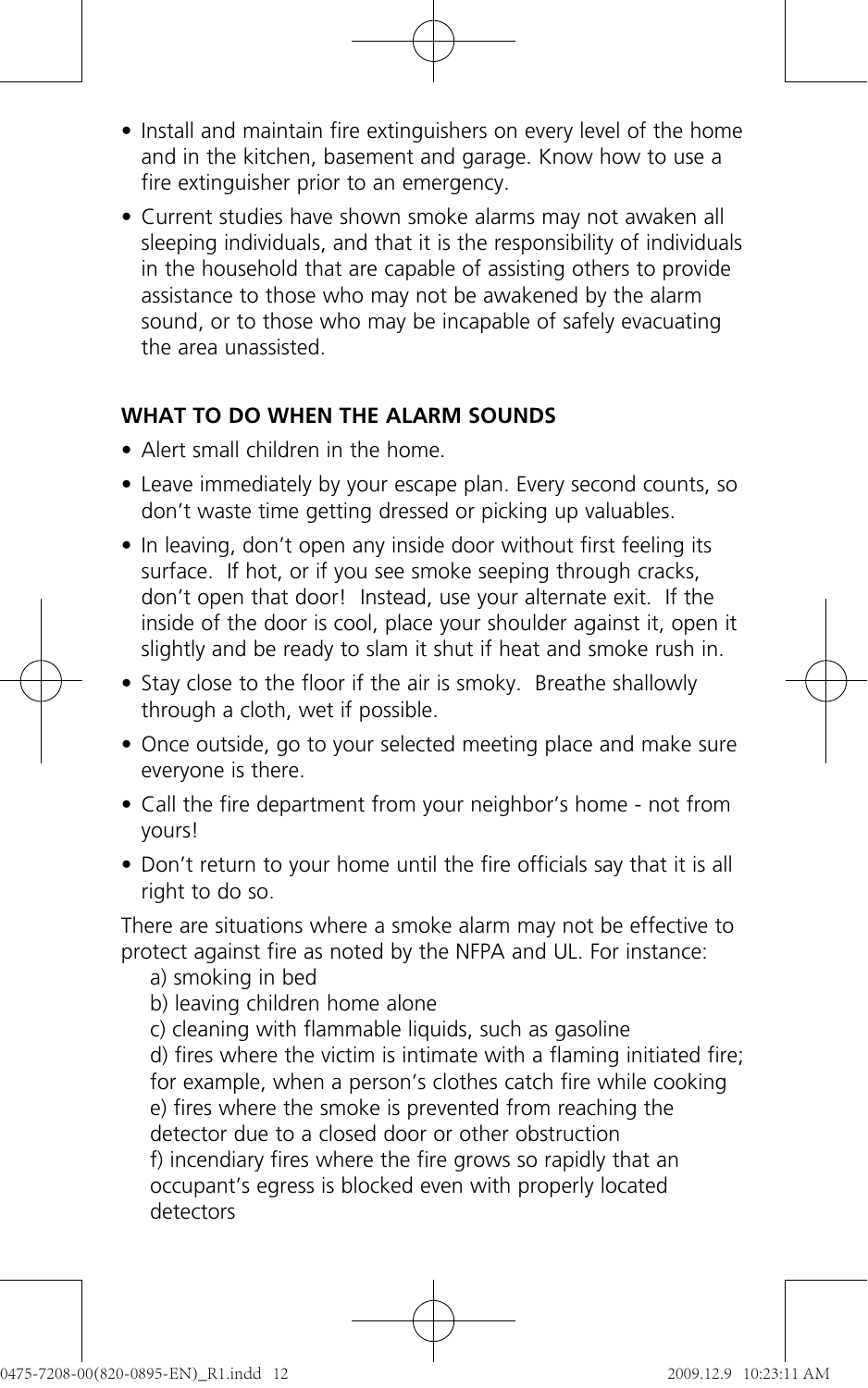- Install and maintain fire extinguishers on every level of the home and in the kitchen, basement and garage. Know how to use a fire extinguisher prior to an emergency.
- Current studies have shown smoke alarms may not awaken all sleeping individuals, and that it is the responsibility of individuals in the household that are capable of assisting others to provide assistance to those who may not be awakened by the alarm sound, or to those who may be incapable of safely evacuating the area unassisted.

#### **WHAT TO DO WHEN THE ALARM SOUNDS**

- Alert small children in the home.
- Leave immediately by your escape plan. Every second counts, so don't waste time getting dressed or picking up valuables.
- In leaving, don't open any inside door without first feeling its surface. If hot, or if you see smoke seeping through cracks, don't open that door! Instead, use your alternate exit. If the inside of the door is cool, place your shoulder against it, open it slightly and be ready to slam it shut if heat and smoke rush in.
- Stay close to the floor if the air is smoky. Breathe shallowly through a cloth, wet if possible.
- Once outside, go to your selected meeting place and make sure everyone is there.
- Call the fire department from your neighbor's home not from yours!
- Don't return to your home until the fire officials say that it is all right to do so.

There are situations where a smoke alarm may not be effective to protect against fire as noted by the NFPA and UL. For instance:

- a) smoking in bed
- b) leaving children home alone
- c) cleaning with flammable liquids, such as gasoline

d) fires where the victim is intimate with a flaming initiated fire; for example, when a person's clothes catch fire while cooking e) fires where the smoke is prevented from reaching the detector due to a closed door or other obstruction f) incendiary fires where the fire grows so rapidly that an occupant's egress is blocked even with properly located detectors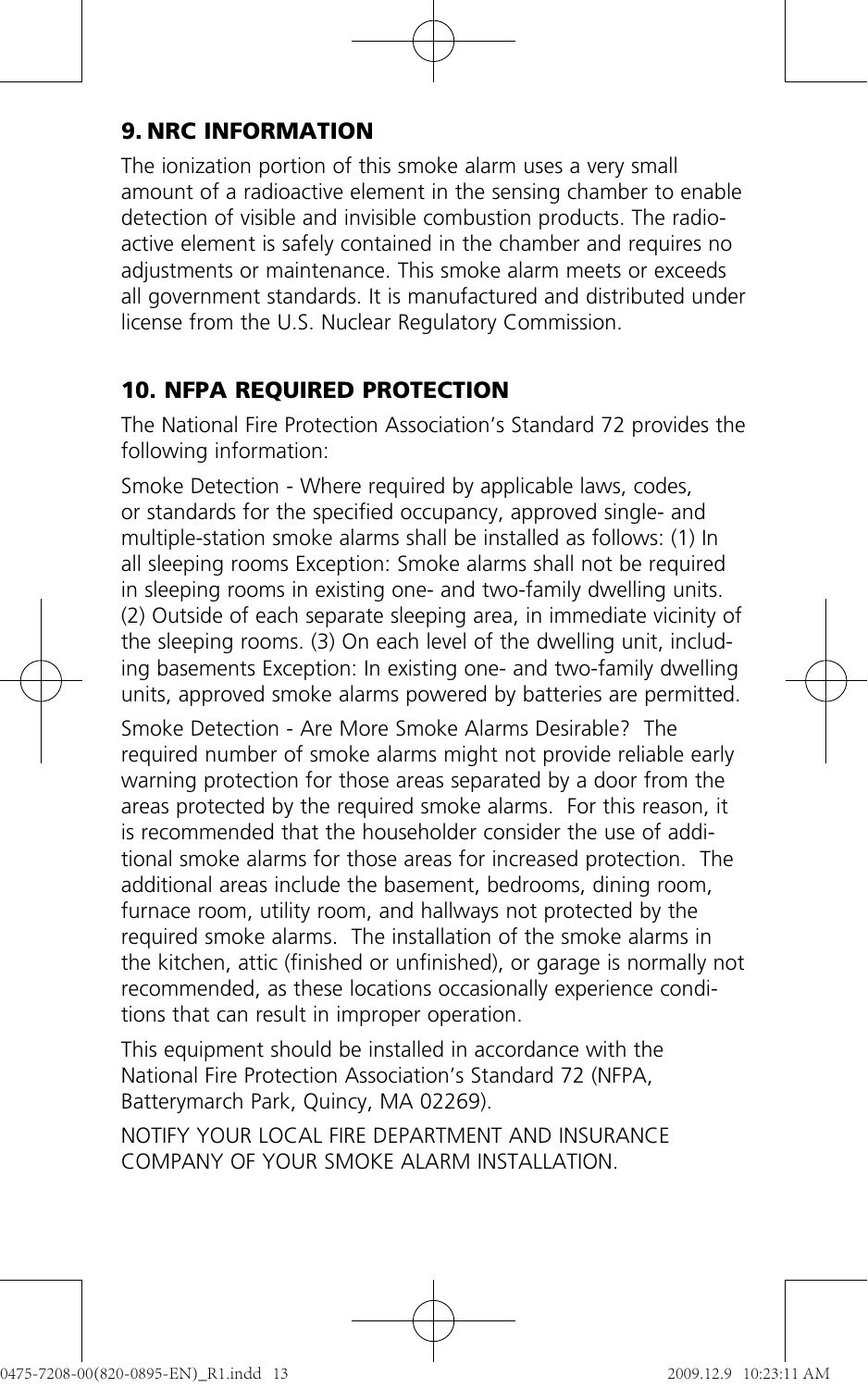# **9. NRC INFORMATION**

The ionization portion of this smoke alarm uses a very small amount of a radioactive element in the sensing chamber to enable detection of visible and invisible combustion products. The radioactive element is safely contained in the chamber and requires no adjustments or maintenance. This smoke alarm meets or exceeds all government standards. It is manufactured and distributed under license from the U.S. Nuclear Regulatory Commission.

# **10. NFPA REQUIRED PROTECTION**

The National Fire Protection Association's Standard 72 provides the following information:

Smoke Detection - Where required by applicable laws, codes, or standards for the specified occupancy, approved single- and multiple-station smoke alarms shall be installed as follows: (1) In all sleeping rooms Exception: Smoke alarms shall not be required in sleeping rooms in existing one- and two-family dwelling units. (2) Outside of each separate sleeping area, in immediate vicinity of the sleeping rooms. (3) On each level of the dwelling unit, including basements Exception: In existing one- and two-family dwelling units, approved smoke alarms powered by batteries are permitted.

Smoke Detection - Are More Smoke Alarms Desirable? The required number of smoke alarms might not provide reliable early warning protection for those areas separated by a door from the areas protected by the required smoke alarms. For this reason, it is recommended that the householder consider the use of additional smoke alarms for those areas for increased protection. The additional areas include the basement, bedrooms, dining room, furnace room, utility room, and hallways not protected by the required smoke alarms. The installation of the smoke alarms in the kitchen, attic (finished or unfinished), or garage is normally not recommended, as these locations occasionally experience conditions that can result in improper operation.

This equipment should be installed in accordance with the National Fire Protection Association's Standard 72 (NFPA, Batterymarch Park, Quincy, MA 02269).

NOTIFY YOUR LOCAL FIRE DEPARTMENT AND INSURANCE COMPANY OF YOUR SMOKE ALARM INSTALLATION.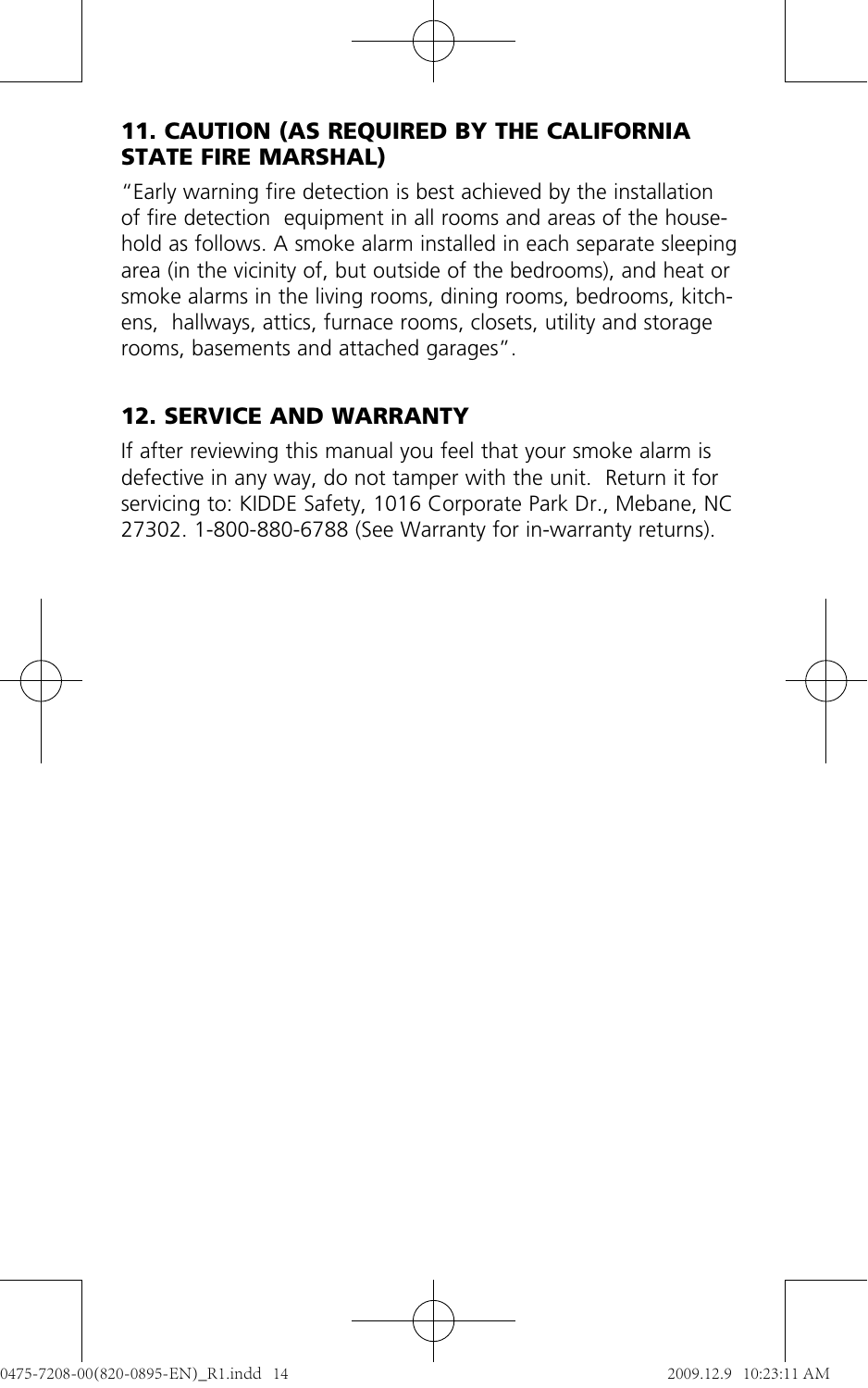## **11. CAUTION (AS REQUIRED BY THE CALIFORNIA STATE FIRE MARSHAL)**

"Early warning fire detection is best achieved by the installation of fire detection equipment in all rooms and areas of the household as follows. A smoke alarm installed in each separate sleeping area (in the vicinity of, but outside of the bedrooms), and heat or smoke alarms in the living rooms, dining rooms, bedrooms, kitchens, hallways, attics, furnace rooms, closets, utility and storage rooms, basements and attached garages".

## **12. SERVICE AND WARRANTY**

If after reviewing this manual you feel that your smoke alarm is defective in any way, do not tamper with the unit. Return it for servicing to: KIDDE Safety, 1016 Corporate Park Dr., Mebane, NC 27302. 1-800-880-6788 (See Warranty for in-warranty returns).